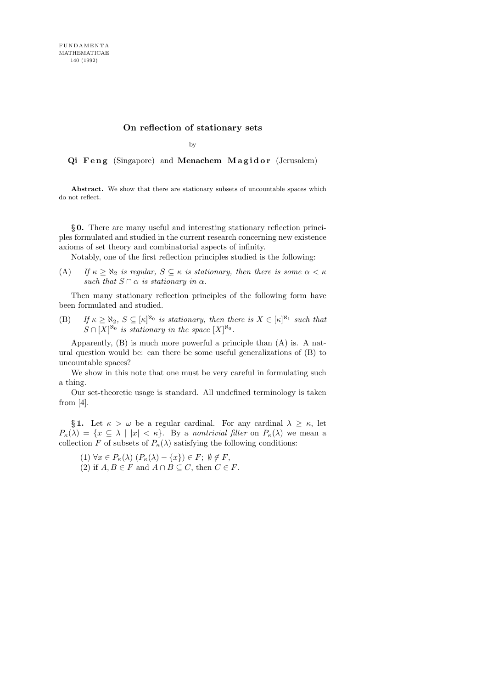## On reflection of stationary sets

by

Qi Feng (Singapore) and Menachem Magidor (Jerusalem)

Abstract. We show that there are stationary subsets of uncountable spaces which do not reflect.

§ 0. There are many useful and interesting stationary reflection principles formulated and studied in the current research concerning new existence axioms of set theory and combinatorial aspects of infinity.

Notably, one of the first reflection principles studied is the following:

(A) If  $\kappa \geq \aleph_2$  is regular,  $S \subseteq \kappa$  is stationary, then there is some  $\alpha < \kappa$ such that  $S \cap \alpha$  is stationary in  $\alpha$ .

Then many stationary reflection principles of the following form have been formulated and studied.

(B) If  $\kappa \ge \aleph_2$ ,  $S \subseteq [\kappa]^{\aleph_0}$  is stationary, then there is  $X \in [\kappa]^{\aleph_1}$  such that  $S \cap [X]^{\aleph_0}$  is stationary in the space  $[X]^{\aleph_0}$ .

Apparently, (B) is much more powerful a principle than (A) is. A natural question would be: can there be some useful generalizations of (B) to uncountable spaces?

We show in this note that one must be very careful in formulating such a thing.

Our set-theoretic usage is standard. All undefined terminology is taken from  $[4]$ .

§ 1. Let  $\kappa > \omega$  be a regular cardinal. For any cardinal  $\lambda \geq \kappa$ , let  $P_{\kappa}(\lambda) = \{x \subseteq \lambda \mid |x| < \kappa\}.$  By a nontrivial filter on  $P_{\kappa}(\lambda)$  we mean a collection F of subsets of  $P_{\kappa}(\lambda)$  satisfying the following conditions:

- (1)  $\forall x \in P_{\kappa}(\lambda)$   $(P_{\kappa}(\lambda) \{x\}) \in F; \emptyset \notin F$ , (2) if  $A, B \in F$  and  $A \cap B \subseteq C$ , then  $C \in F$ .
-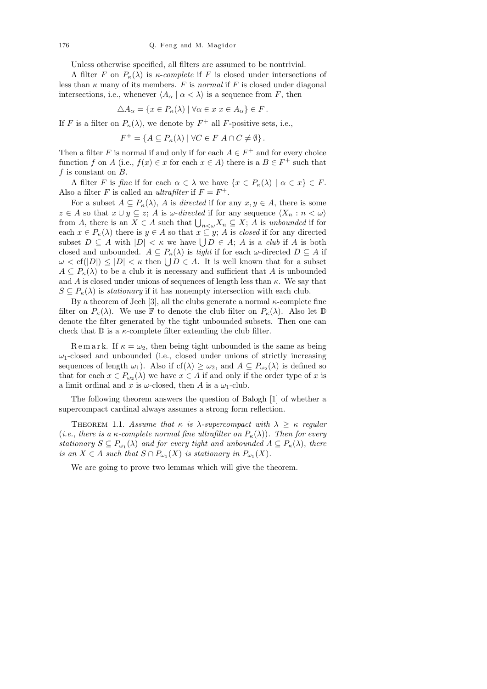Unless otherwise specified, all filters are assumed to be nontrivial.

A filter F on  $P_{\kappa}(\lambda)$  is  $\kappa$ -complete if F is closed under intersections of less than  $\kappa$  many of its members. F is normal if F is closed under diagonal intersections, i.e., whenever  $\langle A_{\alpha} | \alpha \langle \lambda \rangle$  is a sequence from F, then

$$
\triangle A_{\alpha} = \{ x \in P_{\kappa}(\lambda) \mid \forall \alpha \in x \ x \in A_{\alpha} \} \in F.
$$

If F is a filter on  $P_{\kappa}(\lambda)$ , we denote by  $F^+$  all F-positive sets, i.e.,

$$
F^+ = \{ A \subseteq P_\kappa(\lambda) \mid \forall C \in F \ A \cap C \neq \emptyset \}.
$$

Then a filter F is normal if and only if for each  $A \in F^+$  and for every choice function f on A (i.e.,  $f(x) \in x$  for each  $x \in A$ ) there is a  $B \in F^+$  such that f is constant on  $B$ .

A filter F is fine if for each  $\alpha \in \lambda$  we have  $\{x \in P_{\kappa}(\lambda) \mid \alpha \in x\} \in F$ . Also a filter F is called an *ultrafilter* if  $F = F^+$ .

For a subset  $A \subseteq P_{\kappa}(\lambda)$ , A is directed if for any  $x, y \in A$ , there is some  $z \in A$  so that  $x \cup y \subseteq z$ ; A is  $\omega$ -directed if for any sequence  $\langle X_n : n < \omega \rangle$ from A, there is an  $X \in A$  such that  $\bigcup_{n<\omega} X_n \subseteq X$ ; A is unbounded if for each  $x \in P_{\kappa}(\lambda)$  there is  $y \in A$  so that  $x \subseteq y$ ; A is closed if for any directed subset  $D \subseteq A$  with  $|D| < \kappa$  we have  $\bigcup D \in A$ ; A is a *club* if A is both closed and unbounded.  $A \subseteq P_{\kappa}(\lambda)$  is *tight* if for each  $\omega$ -directed  $D \subseteq A$  if  $\omega < \text{cf}(|D|) \leq |D| < \kappa$  then  $\bigcup D \in A$ . It is well known that for a subset  $A \subseteq P_{\kappa}(\lambda)$  to be a club it is necessary and sufficient that A is unbounded and A is closed under unions of sequences of length less than  $\kappa$ . We say that  $S \subseteq P_{\kappa}(\lambda)$  is *stationary* if it has nonempty intersection with each club.

By a theorem of Jech [3], all the clubs generate a normal  $\kappa$ -complete fine filter on  $P_{\kappa}(\lambda)$ . We use F to denote the club filter on  $P_{\kappa}(\lambda)$ . Also let D denote the filter generated by the tight unbounded subsets. Then one can check that  $\mathbb D$  is a  $\kappa$ -complete filter extending the club filter.

Remark. If  $\kappa = \omega_2$ , then being tight unbounded is the same as being  $\omega_1$ -closed and unbounded (i.e., closed under unions of strictly increasing sequences of length  $\omega_1$ ). Also if  $cf(\lambda) \geq \omega_2$ , and  $A \subseteq P_{\omega_2}(\lambda)$  is defined so that for each  $x \in P_{\omega_2}(\lambda)$  we have  $x \in A$  if and only if the order type of x is a limit ordinal and x is  $\omega$ -closed, then A is a  $\omega_1$ -club.

The following theorem answers the question of Balogh [1] of whether a supercompact cardinal always assumes a strong form reflection.

THEOREM 1.1. Assume that  $\kappa$  is  $\lambda$ -supercompact with  $\lambda \geq \kappa$  regular (i.e., there is a  $\kappa$ -complete normal fine ultrafilter on  $P_{\kappa}(\lambda)$ ). Then for every stationary  $S \subseteq P_{\omega_1}(\lambda)$  and for every tight and unbounded  $A \subseteq P_{\kappa}(\lambda)$ , there is an  $X \in A$  such that  $S \cap P_{\omega_1}(X)$  is stationary in  $P_{\omega_1}(X)$ .

We are going to prove two lemmas which will give the theorem.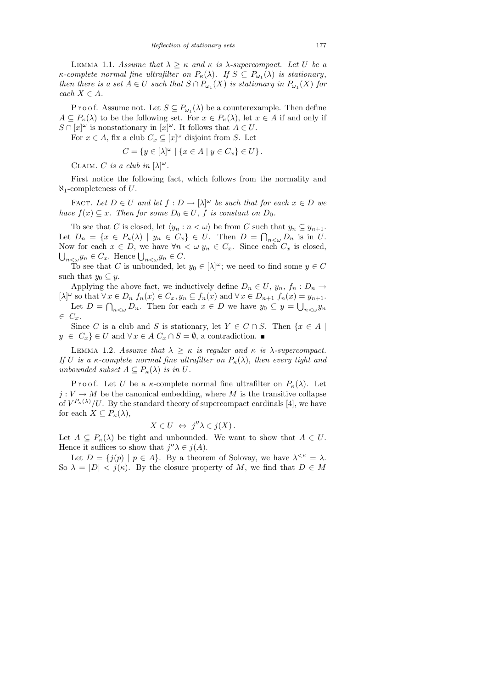LEMMA 1.1. Assume that  $\lambda \geq \kappa$  and  $\kappa$  is  $\lambda$ -supercompact. Let U be a  $\kappa$ -complete normal fine ultrafilter on  $P_{\kappa}(\lambda)$ . If  $S \subseteq P_{\omega_1}(\lambda)$  is stationary, then there is a set  $A \in U$  such that  $S \cap P_{\omega_1}(X)$  is stationary in  $P_{\omega_1}(X)$  for each  $X \in A$ .

P r o o f. Assume not. Let  $S \subseteq P_{\omega_1}(\lambda)$  be a counterexample. Then define  $A \subseteq P_{\kappa}(\lambda)$  to be the following set. For  $x \in P_{\kappa}(\lambda)$ , let  $x \in A$  if and only if  $S \cap [x]^\omega$  is nonstationary in  $[x]^\omega$ . It follows that  $A \in U$ .

For  $x \in A$ , fix a club  $C_x \subseteq [x]^\omega$  disjoint from S. Let

 $C = \{ y \in [\lambda]^\omega \mid \{ x \in A \mid y \in C_x \} \in U \}.$ 

CLAIM. C is a club in  $[\lambda]^{\omega}$ .

First notice the following fact, which follows from the normality and  $\aleph_1$ -completeness of U.

FACT. Let  $D \in U$  and let  $f: D \to [\lambda]^{\omega}$  be such that for each  $x \in D$  we have  $f(x) \subseteq x$ . Then for some  $D_0 \in U$ , f is constant on  $D_0$ .

To see that C is closed, let  $\langle y_n : n < \omega \rangle$  be from C such that  $y_n \subseteq y_{n+1}$ . Let  $D_n = \{x \in P_\kappa(\lambda) \mid y_n \in C_x\} \in U$ . Then  $D = \bigcap_{n < \omega} D_n$  is in U. Now for each  $x \in D$ , we have  $\forall n \langle \omega y_n \in C_x$ . Since each  $C_x$  is closed,  $\bigcup_{n<\omega} y_n \in C_x$ . Hence  $\bigcup_{n<\omega} y_n \in C$ .

To see that C is unbounded, let  $y_0 \in [\lambda]^\omega$ ; we need to find some  $y \in C$ such that  $y_0 \subseteq y$ .

Applying the above fact, we inductively define  $D_n \in U$ ,  $y_n$ ,  $f_n: D_n \to$  $[\lambda]^\omega$  so that  $\forall x \in D_n$   $f_n(x) \in C_x$ ,  $y_n \subseteq f_n(x)$  and  $\forall x \in D_{n+1}$   $f_n(x) = y_{n+1}$ . Let  $D = \bigcap_{n<\omega} D_n$ . Then for each  $x \in D$  we have  $y_0 \subseteq y = \bigcup_{n<\omega} y_n$  $\in C_x$ .

Since C is a club and S is stationary, let  $Y \in C \cap S$ . Then  $\{x \in A \mid$  $y \in C_x$   $\in U$  and  $\forall x \in A$   $C_x \cap S = \emptyset$ , a contradiction.

LEMMA 1.2. Assume that  $\lambda \geq \kappa$  is regular and  $\kappa$  is  $\lambda$ -supercompact. If U is a  $\kappa$ -complete normal fine ultrafilter on  $P_{\kappa}(\lambda)$ , then every tight and unbounded subset  $A \subseteq P_{\kappa}(\lambda)$  is in U.

P r o o f. Let U be a  $\kappa$ -complete normal fine ultrafilter on  $P_{\kappa}(\lambda)$ . Let  $j: V \to M$  be the canonical embedding, where M is the transitive collapse of  $V^{P_{\kappa}(\lambda)}/U$ . By the standard theory of supercompact cardinals [4], we have for each  $X \subseteq P_{\kappa}(\lambda),$ 

$$
X \in U \iff j''\lambda \in j(X).
$$

Let  $A \subseteq P_{\kappa}(\lambda)$  be tight and unbounded. We want to show that  $A \in U$ . Hence it suffices to show that  $j''\lambda \in j(A)$ .

Let  $D = \{j(p) | p \in A\}$ . By a theorem of Solovay, we have  $\lambda^{\leq \kappa} = \lambda$ . So  $\lambda = |D| < j(\kappa)$ . By the closure property of M, we find that  $D \in M$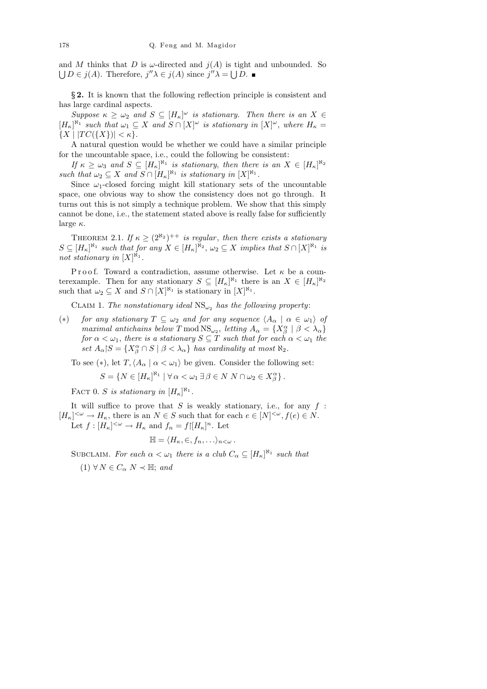and M thinks that D is  $\omega$ -directed and  $i(A)$  is tight and unbounded. So  $\bigcup D \in j(A)$ . Therefore,  $j''\lambda \in j(A)$  since  $j''\lambda = \bigcup D$ .

§ 2. It is known that the following reflection principle is consistent and has large cardinal aspects.

Suppose  $\kappa \geq \omega_2$  and  $S \subseteq [H_{\kappa}]^{\omega}$  is stationary. Then there is an  $X \in$  $[H_{\kappa}]^{\aleph_1}$  such that  $\omega_1 \subseteq X$  and  $S \cap [X]^{\omega}$  is stationary in  $[X]^{\omega}$ , where  $H_{\kappa} =$  $\{X \mid |TC(\{X\})| < \kappa\}.$ 

A natural question would be whether we could have a similar principle for the uncountable space, i.e., could the following be consistent:

If  $\kappa \geq \omega_3$  and  $S \subseteq [H_\kappa]^{\aleph_1}$  is stationary, then there is an  $X \in [H_\kappa]^{\aleph_2}$ such that  $\omega_2 \subseteq X$  and  $S \cap [H_{\kappa}]^{\aleph_1}$  is stationary in  $[X]^{\aleph_1}$ .

Since  $\omega_1$ -closed forcing might kill stationary sets of the uncountable space, one obvious way to show the consistency does not go through. It turns out this is not simply a technique problem. We show that this simply cannot be done, i.e., the statement stated above is really false for sufficiently large  $\kappa$ .

THEOREM 2.1. If  $\kappa \geq (2^{\aleph_2})^{++}$  is regular, then there exists a stationary  $S \subseteq [H_{\kappa}]^{\aleph_1}$  such that for any  $X \in [H_{\kappa}]^{\aleph_2}$ ,  $\omega_2 \subseteq X$  implies that  $S \cap [X]^{\aleph_1}$  is not stationary in  $[X]^{\aleph_1}$ .

Proof. Toward a contradiction, assume otherwise. Let  $\kappa$  be a counterexample. Then for any stationary  $S \subseteq [H_{\kappa}]^{\aleph_1}$  there is an  $X \in [H_{\kappa}]^{\aleph_2}$ such that  $\omega_2 \subseteq X$  and  $S \cap [X]^{\aleph_1}$  is stationary in  $[X]^{\aleph_1}$ .

CLAIM 1. The nonstationary ideal  $\text{NS}_{\omega_2}$  has the following property:

(\*) for any stationary  $T \subseteq \omega_2$  and for any sequence  $\langle A_\alpha | \alpha \in \omega_1 \rangle$  of maximal antichains below T mod  $\text{NS}_{\omega_2}$ , letting  $A_{\alpha} = \{X^{\alpha}_{\beta} \mid \beta < \lambda_{\alpha}\}\$ for  $\alpha < \omega_1$ , there is a stationary  $S \subseteq T$  such that for each  $\alpha < \omega_1$  the  $\text{Set } A_{\alpha} | S = \{ X_{\beta}^{\alpha} \cap S \mid \beta < \lambda_{\alpha} \}$  has cardinality at most  $\aleph_2$ .

To see (\*), let  $T, \langle A_\alpha | \alpha < \omega_1 \rangle$  be given. Consider the following set:

$$
S = \{ N \in [H_{\kappa}]^{\aleph_1} \mid \forall \alpha < \omega_1 \exists \beta \in N \ N \cap \omega_2 \in X^{\alpha}_{\beta} \}.
$$

FACT 0. S is stationary in  $[H_{\kappa}]^{\aleph_1}$ .

It will suffice to prove that  $S$  is weakly stationary, i.e., for any  $f$ :  $[H_{\kappa}]^{<\omega} \to H_{\kappa}$ , there is an  $N \in S$  such that for each  $e \in [N]^{<\omega}$ ,  $f(e) \in N$ . Let  $f: [H_{\kappa}]^{\lt}\omega \to H_{\kappa}$  and  $f_n = f|[H_{\kappa}]^n$ . Let

$$
\mathbb{H} = \langle H_{\kappa}, \in, f_n, \ldots \rangle_{n < \omega}.
$$

SUBCLAIM. For each  $\alpha < \omega_1$  there is a club  $C_{\alpha} \subseteq [H_{\kappa}]^{\aleph_1}$  such that

 $(1) \forall N \in C_{\alpha} N \prec \mathbb{H}$ ; and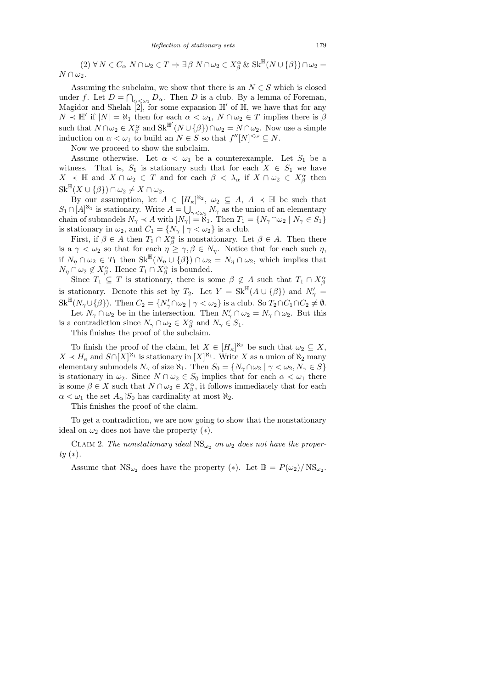$(2) \forall N \in C_{\alpha} N \cap \omega_2 \in T \Rightarrow \exists \beta N \cap \omega_2 \in X_{\beta}^{\alpha} \& \text{Sk}^{\mathbb{H}}(N \cup {\beta}) \cap \omega_2 =$  $N \cap \omega_2$ .

Assuming the subclaim, we show that there is an  $N \in S$  which is closed under f. Let  $D = \bigcap_{\alpha \leq \omega_1} D_\alpha$ . Then D is a club. By a lemma of Foreman, Magidor and Shelah  $\left[2\right]$ , for some expansion  $\mathbb{H}'$  of  $\mathbb{H}$ , we have that for any  $N \prec \mathbb{H}'$  if  $|N| = \aleph_1$  then for each  $\alpha < \omega_1$ ,  $N \cap \omega_2 \in T$  implies there is  $\beta$ such that  $N \cap \omega_2 \in X_\beta^\alpha$  and  $\text{Sk}^{\mathbb{H}'}(N \cup {\beta}) \cap \omega_2 = N \cap \omega_2$ . Now use a simple induction on  $\alpha < \omega_1$  to build an  $N \in S$  so that  $f''[N]^{< \omega} \subseteq N$ .

Now we proceed to show the subclaim.

Assume otherwise. Let  $\alpha < \omega_1$  be a counterexample. Let  $S_1$  be a witness. That is,  $S_1$  is stationary such that for each  $X \in S_1$  we have  $X \prec \mathbb{H}$  and  $X \cap \omega_2 \in T$  and for each  $\beta \prec \lambda_\alpha$  if  $X \cap \omega_2 \in X_\beta^\alpha$  then  $\operatorname{Sk}^{\mathbb{H}}(X \cup \{\beta\}) \cap \omega_2 \neq X \cap \omega_2.$ 

By our assumption, let  $A \in [H_{\kappa}]^{\aleph_2}$ ,  $\omega_2 \subseteq A$ ,  $A \prec \mathbb{H}$  be such that  $S_1 \cap [A]^{\aleph_1}$  is stationary. Write  $A = \bigcup_{\gamma < \omega_2} N_{\gamma}$  as the union of an elementary chain of submodels  $N_{\gamma} \prec A$  with  $|N_{\gamma}| = \aleph_1$ . Then  $T_1 = \{N_{\gamma} \cap \omega_2 \mid N_{\gamma} \in S_1\}$ is stationary in  $\omega_2$ , and  $C_1 = \{N_\gamma \mid \gamma < \omega_2\}$  is a club.

First, if  $\beta \in A$  then  $T_1 \cap X_\beta^\alpha$  is nonstationary. Let  $\beta \in A$ . Then there is a  $\gamma < \omega_2$  so that for each  $\eta \geq \gamma, \beta \in N_\eta$ . Notice that for each such  $\eta$ , if  $N_{\eta} \cap \omega_2 \in T_1$  then  $\text{Sk}^{\mathbb{H}}(N_{\eta} \cup {\{\beta\}}) \cap \omega_2 = N_{\eta} \cap \omega_2$ , which implies that  $N_{\eta} \cap \omega_2 \notin X_{\beta}^{\alpha}$ . Hence  $T_1 \cap X_{\beta}^{\alpha}$  is bounded.

Since  $T_1 \subseteq T$  is stationary, there is some  $\beta \notin A$  such that  $T_1 \cap X^{\alpha}_{\beta}$ is stationary. Denote this set by  $T_2$ . Let  $Y = \text{Sk}^{\mathbb{H}}(A \cup \{\beta\})$  and  $N'_{\gamma} =$  $\operatorname{Sk}^{\mathbb{H}}(N_{\gamma}\cup\{\beta\})$ . Then  $C_2 = \{N'_{\gamma}\cap\omega_2 \mid \gamma<\omega_2\}$  is a club. So  $T_2\cap C_1\cap C_2 \neq \emptyset$ .

Let  $N_{\gamma} \cap \omega_2$  be in the intersection. Then  $N'_{\gamma} \cap \omega_2 = N_{\gamma} \cap \omega_2$ . But this is a contradiction since  $N_{\gamma} \cap \omega_2 \in X^{\alpha}_{\beta}$  and  $N_{\gamma} \in S_1$ .

This finishes the proof of the subclaim.

To finish the proof of the claim, let  $X \in [H_{\kappa}]^{\aleph_2}$  be such that  $\omega_2 \subseteq X$ ,  $X \prec H_{\kappa}$  and  $S \cap [X]^{\aleph_1}$  is stationary in  $[X]^{\aleph_1}$ . Write X as a union of  $\aleph_2$  many elementary submodels  $N_{\gamma}$  of size  $\aleph_1$ . Then  $S_0 = \{N_{\gamma} \cap \omega_2 \mid \gamma < \omega_2, N_{\gamma} \in S\}$ is stationary in  $\omega_2$ . Since  $N \cap \omega_2 \in S_0$  implies that for each  $\alpha < \omega_1$  there is some  $\beta \in X$  such that  $N \cap \omega_2 \in X_\beta^\alpha$ , it follows immediately that for each  $\alpha < \omega_1$  the set  $A_\alpha | S_0$  has cardinality at most  $\aleph_2$ .

This finishes the proof of the claim.

To get a contradiction, we are now going to show that the nonstationary ideal on  $\omega_2$  does not have the property  $(*)$ .

CLAIM 2. The nonstationary ideal  $\text{NS}_{\omega_2}$  on  $\omega_2$  does not have the proper $ty(*).$ 

Assume that  $\text{NS}_{\omega_2}$  does have the property (\*). Let  $\mathbb{B} = P(\omega_2) / \text{NS}_{\omega_2}$ .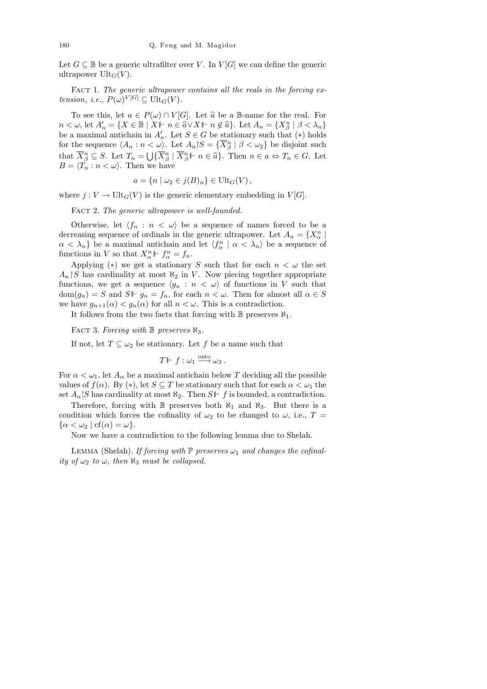Let  $G \subseteq \mathbb{B}$  be a generic ultrafilter over V. In  $V[G]$  we can define the generic ultrapower  $\mathrm{Ult}_G(V)$ .

FACT 1. The generic ultrapower contains all the reals in the forcing extension, i.e.,  $P(\omega)^{V[G]} \subseteq \text{Ult}_G(V)$ .

To see this, let  $a \in P(\omega) \cap V[G]$ . Let  $\hat{a}$  be a B-name for the real. For  $n < \omega$ , let  $A'_n = \{ X \in \mathbb{B} \mid X \mid n \in \hat{a} \vee X \mid n \notin \hat{a} \}$ . Let  $A_n = \{ X_\beta^n \mid \beta < \lambda_n \}$ be a maximal antichain in  $A'_n$ . Let  $S \in G$  be stationary such that  $(*)$  holds for the sequence  $\langle A_n : n < \omega \rangle$ . Let  $A_n | S = {\overline{X_\beta^n} \mid \beta < \omega_2}$  be disjoint such that  $\overline{X}_{\beta}^{n} \subseteq S$ . Let  $T_{n} = \bigcup \{ \overline{X}_{\beta}^{n} \mid \overline{X}_{\beta}^{n} \vdash n \in \widehat{a} \}$ . Then  $n \in a \Leftrightarrow T_{n} \in G$ . Let  $B = \langle T \rangle : n \leq \langle x \rangle$ . Then we have  $B = \langle T_n : n < \omega \rangle$ . Then we have

$$
a = \{ n \mid \omega_2 \in j(B)_n \} \in \text{Ult}_G(V),
$$

where  $j: V \to \text{Ult}_G(V)$  is the generic elementary embedding in  $V[G]$ .

FACT 2. The generic ultrapower is well-founded.

Otherwise, let  $\langle f_n : n \langle \omega \rangle$  be a sequence of names forced to be a decreasing sequence of ordinals in the generic ultrapower. Let  $A_n = \{X_\alpha^n \mid$  $\alpha < \lambda_n$ } be a maximal antichain and let  $\langle f^n_\alpha | \alpha < \lambda_n \rangle$  be a sequence of functions in V so that  $X_{\alpha}^{n} \Vdash f_{\alpha}^{n} = f_{n}$ .

Applying (\*) we get a stationary S such that for each  $n < \omega$  the set  $A_n \upharpoonright S$  has cardinality at most  $\aleph_2$  in V. Now piecing together appropriate functions, we get a sequence  $\langle g_n : n \langle \omega \rangle$  of functions in V such that  $dom(g_n) = S$  and  $S \vdash g_n = f_n$ , for each  $n < \omega$ . Then for almost all  $\alpha \in S$ we have  $g_{n+1}(\alpha) < g_n(\alpha)$  for all  $n < \omega$ . This is a contradiction.

It follows from the two facts that forcing with  $\mathbb B$  preserves  $\aleph_1$ .

FACT 3. Forcing with  $\mathbb B$  preserves  $\aleph_3$ .

If not, let  $T \subseteq \omega_2$  be stationary. Let f be a name such that

$$
T \Vdash f : \omega_1 \xrightarrow{\text{onto}} \omega_3.
$$

For  $\alpha < \omega_1$ , let  $A_\alpha$  be a maximal antichain below T deciding all the possible values of  $f(\alpha)$ . By  $(*)$ , let  $S \subseteq T$  be stationary such that for each  $\alpha < \omega_1$  the set  $A_{\alpha}$  S has cardinality at most  $\aleph_2$ . Then  $S \vdash f$  is bounded, a contradiction.

Therefore, forcing with B preserves both  $\aleph_1$  and  $\aleph_3$ . But there is a condition which forces the cofinality of  $\omega_2$  to be changed to  $\omega$ , i.e.,  $T =$  $\{\alpha < \omega_2 \mid cf(\alpha) = \omega\}.$ 

Now we have a contradiction to the following lemma due to Shelah.

LEMMA (Shelah). If forcing with  $\mathbb P$  preserves  $\omega_1$  and changes the cofinality of  $\omega_2$  to  $\omega$ , then  $\aleph_3$  must be collapsed.